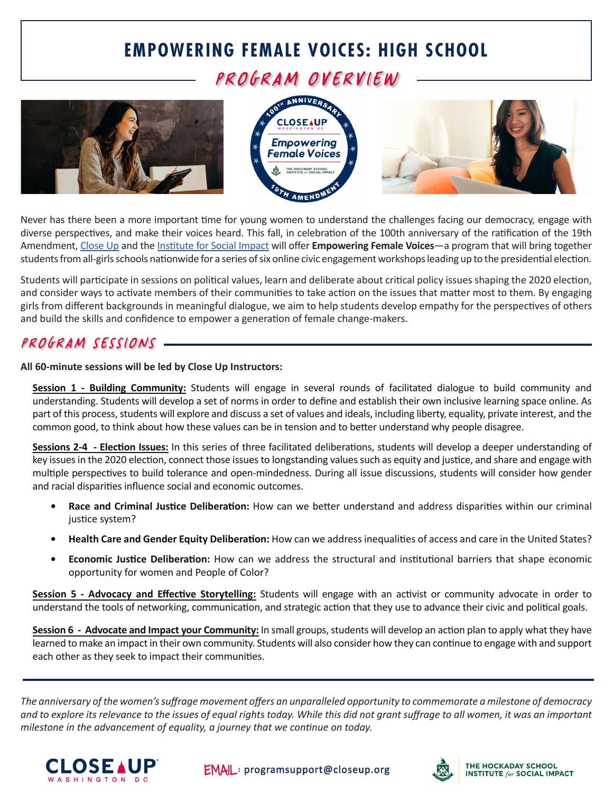### **EMPOWERING FEMALE VOICES: HIGH SCHOOL**

PROGRAM OVERVIEW







Never has there been a more important time for young women to understand the challenges facing our democracy, engage with diverse perspectives, and make their voices heard. This fall, in celebration of the 100th anniversary of the ratification of the 19th Amendment, [Close Up](https://www.closeup.org/virtual-learning-opportunities-4-3-20/) and the [Institute for Social Impact](https://www.hockaday.org/academics/institute-for-social-impact) will offer **Empowering Female Voices**—a program that will bring together students from all-girls schools nationwide for a series of six online civic engagement workshops leading up to the presidential election.

Students will participate in sessions on political values, learn and deliberate about critical policy issues shaping the 2020 election, and consider ways to activate members of their communities to take action on the issues that matter most to them. By engaging girls from different backgrounds in meaningful dialogue, we aim to help students develop empathy for the perspectives of others and build the skills and confidence to empower a generation of female change-makers.

#### PROGRAM SESSIONS.

**All 60-minute sessions will be led by Close Up Instructors:**

**Session 1 - Building Community:** Students will engage in several rounds of facilitated dialogue to build community and understanding. Students will develop a set of norms in order to define and establish their own inclusive learning space online. As part of this process, students will explore and discuss a set of values and ideals, including liberty, equality, private interest, and the common good, to think about how these values can be in tension and to better understand why people disagree.

**Sessions 2-4 - Election Issues:** In this series of three facilitated deliberations, students will develop a deeper understanding of key issues in the 2020 election, connect those issues to longstanding values such as equity and justice, and share and engage with multiple perspectives to build tolerance and open-mindedness. During all issue discussions, students will consider how gender and racial disparities influence social and economic outcomes.

- **• Race and Criminal Justice Deliberation:** How can we better understand and address disparities within our criminal justice system?
- **• Health Care and Gender Equity Deliberation:** How can we address inequalities of access and care in the United States?
- **• Economic Justice Deliberation:** How can we address the structural and institutional barriers that shape economic opportunity for women and People of Color?

**Session 5 - Advocacy and Effective Storytelling:** Students will engage with an activist or community advocate in order to understand the tools of networking, communication, and strategic action that they use to advance their civic and political goals.

**Session 6 - Advocate and Impact your Community:** In small groups, students will develop an action plan to apply what they have learned to make an impact in their own community. Students will also consider how they can continue to engage with and support each other as they seek to impact their communities.

*The anniversary of the women's suffrage movement offers an unparalleled opportunity to commemorate a milestone of democracy and to explore its relevance to the issues of equal rights today. While this did not grant suffrage to all women, it was an important milestone in the advancement of equality, a journey that we continue on today.*